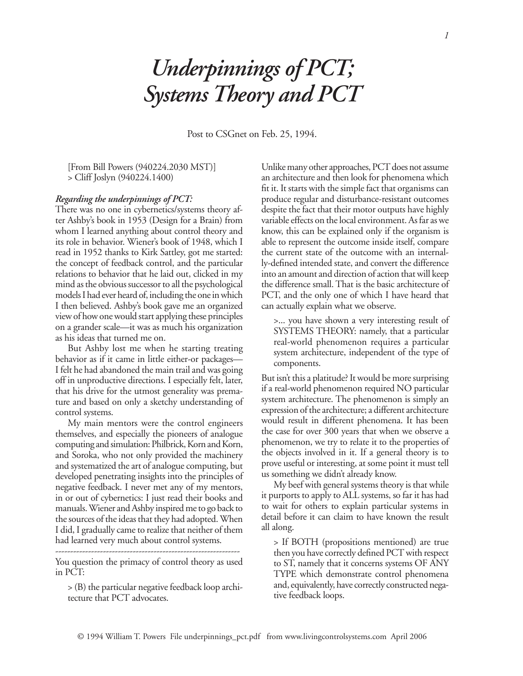## *Underpinnings of PCT; Systems Theory and PCT*

Post to CSGnet on Feb. 25, 1994.

[From Bill Powers (940224.2030 MST)] > Cliff Joslyn (940224.1400)

## *Regarding the underpinnings of PCT:*

There was no one in cybernetics/systems theory after Ashby's book in 1953 (Design for a Brain) from whom I learned anything about control theory and its role in behavior. Wiener's book of 1948, which I read in 1952 thanks to Kirk Sattley, got me started: the concept of feedback control, and the particular relations to behavior that he laid out, clicked in my mind as the obvious successor to all the psychological models I had ever heard of, including the one in which I then believed. Ashby's book gave me an organized view of how one would start applying these principles on a grander scale—it was as much his organization as his ideas that turned me on.

But Ashby lost me when he starting treating behavior as if it came in little either-or packages— I felt he had abandoned the main trail and was going off in unproductive directions. I especially felt, later, that his drive for the utmost generality was prema‑ ture and based on only a sketchy understanding of control systems.

My main mentors were the control engineers themselves, and especially the pioneers of analogue computing and simulation: Philbrick, Korn and Korn, and Soroka, who not only provided the machinery and systematized the art of analogue computing, but developed penetrating insights into the principles of negative feedback. I never met any of my mentors, in or out of cybernetics: I just read their books and manuals. Wiener and Ashby inspired me to go back to the sources of the ideas that they had adopted. When I did, I gradually came to realize that neither of them had learned very much about control systems.

You question the primacy of control theory as used in PCT:

.<br>.<br>.

> (B) the particular negative feedback loop archi‑ tecture that PCT advocates.

Unlike many other approaches, PCT does not assume an architecture and then look for phenomena which fit it. It starts with the simple fact that organisms can produce regular and disturbance‑resistant outcomes despite the fact that their motor outputs have highly variable effects on the local environment. As far as we know, this can be explained only if the organism is able to represent the outcome inside itself, compare the current state of the outcome with an internally‑defined intended state, and convert the difference into an amount and direction of action that will keep the difference small. That is the basic architecture of PCT, and the only one of which I have heard that can actually explain what we observe.

>... you have shown a very interesting result of SYSTEMS THEORY: namely, that a particular real‑world phenomenon requires a particular system architecture, independent of the type of components.

But isn't this a platitude? It would be more surprising if a real‑world phenomenon required NO particular system architecture. The phenomenon is simply an expression of the architecture; a different architecture would result in different phenomena. It has been the case for over 300 years that when we observe a phenomenon, we try to relate it to the properties of the objects involved in it. If a general theory is to prove useful or interesting, at some point it must tell us something we didn't already know.

My beef with general systems theory is that while it purports to apply to ALL systems, so far it has had to wait for others to explain particular systems in detail before it can claim to have known the result all along.

> If BOTH (propositions mentioned) are true then you have correctly defined PCT with respect to ST, namely that it concerns systems OF ANY TYPE which demonstrate control phenomena and, equivalently, have correctly constructed negative feedback loops.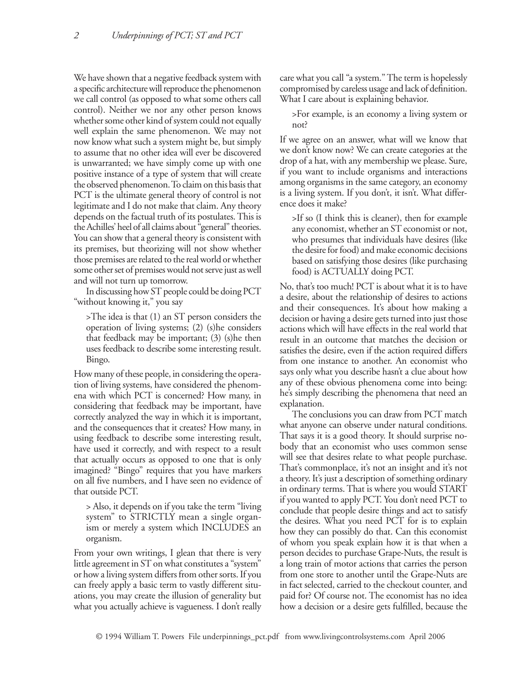We have shown that a negative feedback system with a specific architecture will reproduce the phenomenon we call control (as opposed to what some others call control). Neither we nor any other person knows whether some other kind of system could not equally well explain the same phenomenon. We may not now know what such a system might be, but simply to assume that no other idea will ever be discovered is unwarranted; we have simply come up with one positive instance of a type of system that will create the observed phenomenon. To claim on this basis that PCT is the ultimate general theory of control is not legitimate and I do not make that claim. Any theory depends on the factual truth of its postulates. This is the Achilles' heel of all claims about "general" theories. You can show that a general theory is consistent with its premises, but theorizing will not show whether those premises are related to the real world or whether some other set of premises would not serve just as well and will not turn up tomorrow.

In discussing how ST people could be doing PCT "without knowing it," you say

>The idea is that (1) an ST person considers the operation of living systems; (2) (s)he considers that feedback may be important; (3) (s)he then uses feedback to describe some interesting result. Bingo.

How many of these people, in considering the operation of living systems, have considered the phenomena with which PCT is concerned? How many, in considering that feedback may be important, have correctly analyzed the way in which it is important, and the consequences that it creates? How many, in using feedback to describe some interesting result, have used it correctly, and with respect to a result that actually occurs as opposed to one that is only imagined? "Bingo" requires that you have markers on all five numbers, and I have seen no evidence of that outside PCT.

> Also, it depends on if you take the term "living system" to STRICTLY mean a single organism or merely a system which INCLUDES an organism.

From your own writings, I glean that there is very little agreement in ST on what constitutes a "system" or how a living system differs from other sorts. If you can freely apply a basic term to vastly different situations, you may create the illusion of generality but what you actually achieve is vagueness. I don't really care what you call "a system." The term is hopelessly compromised by careless usage and lack of definition. What I care about is explaining behavior.

>For example, is an economy a living system or not?

If we agree on an answer, what will we know that we don't know now? We can create categories at the drop of a hat, with any membership we please. Sure, if you want to include organisms and interactions among organisms in the same category, an economy is a living system. If you don't, it isn't. What difference does it make?

>If so (I think this is cleaner), then for example any economist, whether an ST economist or not, who presumes that individuals have desires (like the desire for food) and make economic decisions based on satisfying those desires (like purchasing food) is ACTUALLY doing PCT.

No, that's too much! PCT is about what it is to have a desire, about the relationship of desires to actions and their consequences. It's about how making a decision or having a desire gets turned into just those actions which will have effects in the real world that result in an outcome that matches the decision or satisfies the desire, even if the action required differs from one instance to another. An economist who says only what you describe hasn't a clue about how any of these obvious phenomena come into being: he's simply describing the phenomena that need an explanation.

The conclusions you can draw from PCT match what anyone can observe under natural conditions. That says it is a good theory. It should surprise nobody that an economist who uses common sense will see that desires relate to what people purchase. That's commonplace, it's not an insight and it's not a theory. It's just a description of something ordinary in ordinary terms. That is where you would START if you wanted to apply PCT. You don't need PCT to conclude that people desire things and act to satisfy the desires. What you need PCT for is to explain how they can possibly do that. Can this economist of whom you speak explain how it is that when a person decides to purchase Grape‑Nuts, the result is a long train of motor actions that carries the person from one store to another until the Grape‑Nuts are in fact selected, carried to the checkout counter, and paid for? Of course not. The economist has no idea how a decision or a desire gets fulfilled, because the